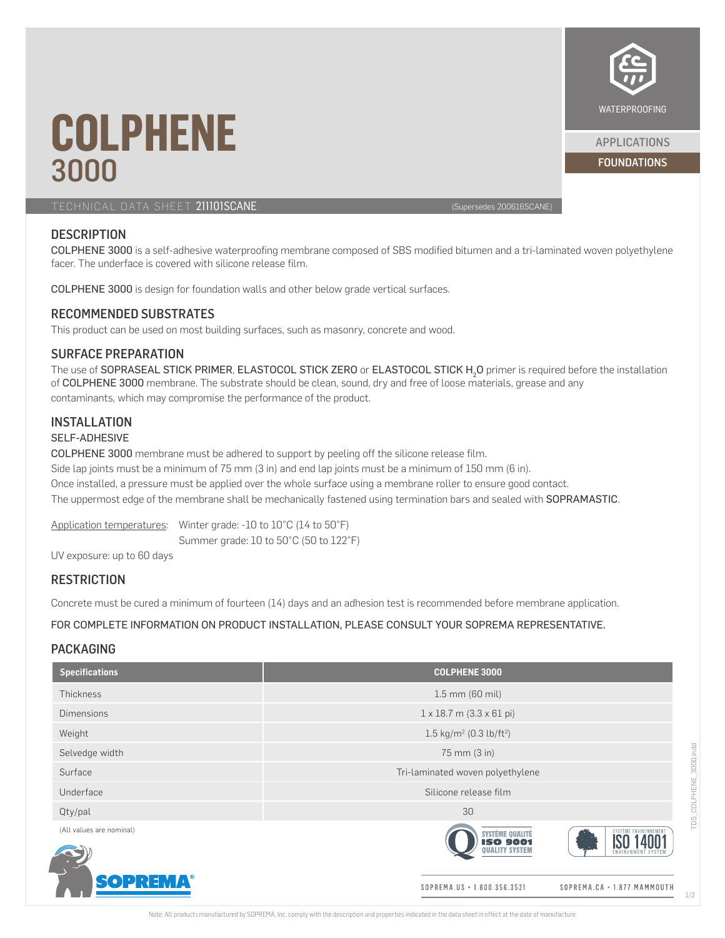

FOUNDATIONS APPLICATIONS

# **COLPHENE** 3000

TECHNICAL DATA SHEET 211101SCANE (Supersedes 200616SCANE)

## **DESCRIPTION**

COLPHENE 3000 is a self-adhesive waterproofing membrane composed of SBS modified bitumen and a tri-laminated woven polyethylene facer. The underface is covered with silicone release film.

COLPHENE 3000 is design for foundation walls and other below grade vertical surfaces.

#### RECOMMENDED SUBSTRATES

This product can be used on most building surfaces, such as masonry, concrete and wood.

#### SURFACE PREPARATION

The use of SOPRASEAL STICK PRIMER, ELASTOCOL STICK ZERO or ELASTOCOL STICK  $H_2$ O primer is required before the installation of COLPHENE 3000 membrane. The substrate should be clean, sound, dry and free of loose materials, grease and any contaminants, which may compromise the performance of the product.

#### INSTALLATION

#### SELF-ADHESIVE

COLPHENE 3000 membrane must be adhered to support by peeling off the silicone release film.

Side lap joints must be a minimum of 75 mm (3 in) and end lap joints must be a minimum of 150 mm (6 in).

Once installed, a pressure must be applied over the whole surface using a membrane roller to ensure good contact. The uppermost edge of the membrane shall be mechanically fastened using termination bars and sealed with SOPRAMASTIC.

Application temperatures: Winter grade: -10 to 10°C (14 to 50°F) Summer grade: 10 to 50°C (50 to 122°F)

UV exposure: up to 60 days

### **RESTRICTION**

Concrete must be cured a minimum of fourteen (14) days and an adhesion test is recommended before membrane application.

FOR COMPLETE INFORMATION ON PRODUCT INSTALLATION, PLEASE CONSULT YOUR SOPREMA REPRESENTATIVE.

### PACKAGING

| <b>Specifications</b>    | <b>COLPHENE 3000</b>                                        |                             |
|--------------------------|-------------------------------------------------------------|-----------------------------|
| <b>Thickness</b>         | 1.5 mm (60 mil)                                             |                             |
| <b>Dimensions</b>        | $1 \times 18.7$ m $(3.3 \times 61$ pi)                      |                             |
| Weight                   | 1.5 kg/m <sup>2</sup> (0.3 lb/ft <sup>2</sup> )             |                             |
| Selvedge width           | 75 mm (3 in)                                                |                             |
| Surface                  | Tri-laminated woven polyethylene                            |                             |
| Underface                | Silicone release film                                       |                             |
| Qty/pal                  | 30                                                          |                             |
| (All values are nominal) | SYSTÈME QUALITÉ<br><b>ISO 9001</b><br><b>ENVIRO</b>         | <b>SYSTÈME ENVIRONNEMEN</b> |
| <b>SOPREMA®</b>          | SOPREMA.US • 1.800.356.3521<br>SOPREMA.CA . 1.877. MAMMOUTH |                             |

1/2